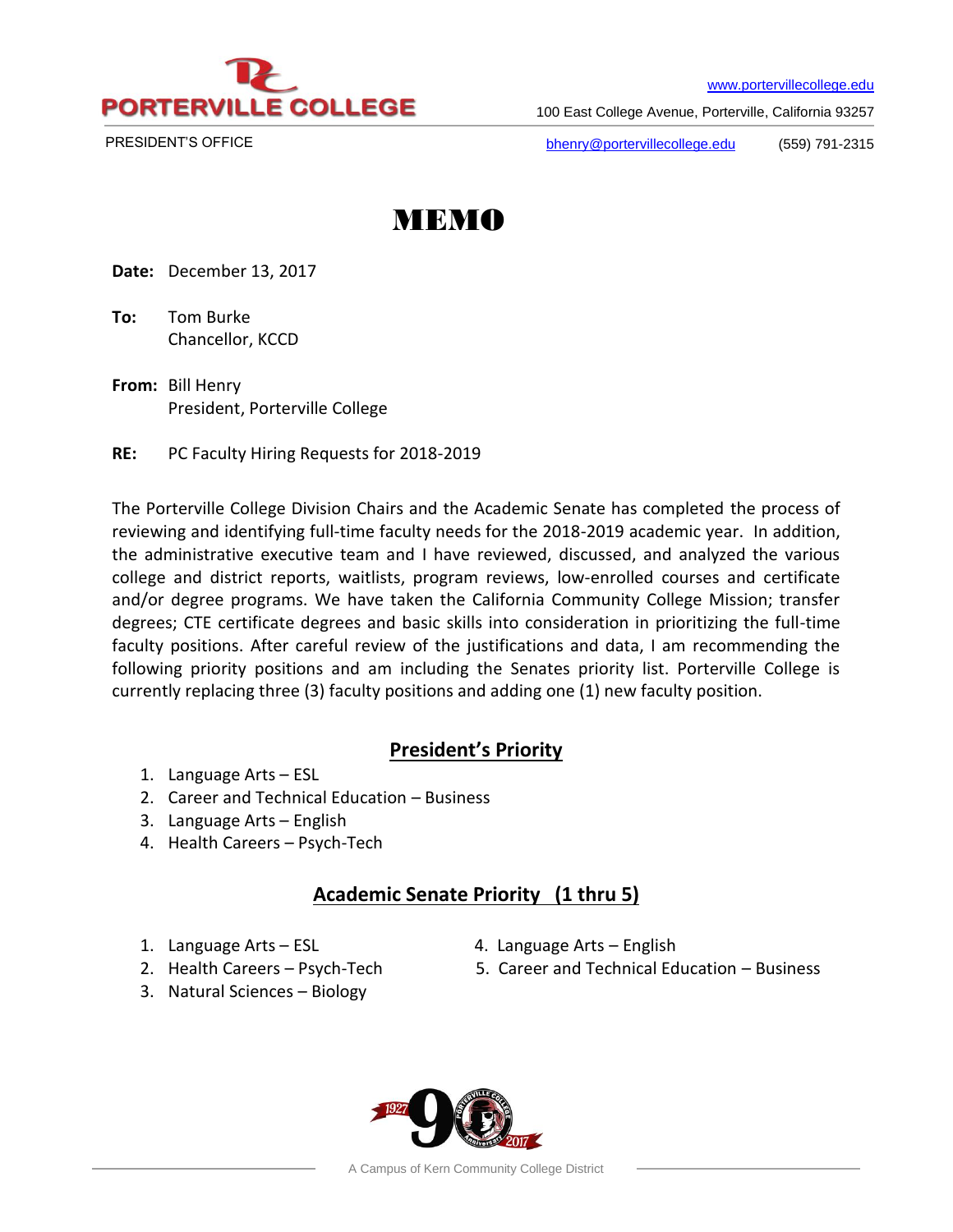

[www.portervillecollege.edu](http://www.portervillecollege.edu/)

100 East College Avenue, Porterville, California 93257

PRESIDENT'S OFFICE

[bhenry@portervillecollege.edu](mailto:bhenry@portervillecollege.edu) (559) 791-2315

# MEMO

**Date:** December 13, 2017

**To:** Tom Burke Chancellor, KCCD

- **From:** Bill Henry President, Porterville College
- **RE:** PC Faculty Hiring Requests for 2018-2019

The Porterville College Division Chairs and the Academic Senate has completed the process of reviewing and identifying full-time faculty needs for the 2018-2019 academic year. In addition, the administrative executive team and I have reviewed, discussed, and analyzed the various college and district reports, waitlists, program reviews, low-enrolled courses and certificate and/or degree programs. We have taken the California Community College Mission; transfer degrees; CTE certificate degrees and basic skills into consideration in prioritizing the full-time faculty positions. After careful review of the justifications and data, I am recommending the following priority positions and am including the Senates priority list. Porterville College is currently replacing three (3) faculty positions and adding one (1) new faculty position.

## **President's Priority**

- 1. Language Arts ESL
- 2. Career and Technical Education Business
- 3. Language Arts English
- 4. Health Careers Psych-Tech

## **Academic Senate Priority (1 thru 5)**

- 
- 1. Language Arts ESL 4. Language Arts English
- 2. Health Careers Psych-Tech 5. Career and Technical Education Business
- 3. Natural Sciences Biology
	-

A Campus of Kern Community College District